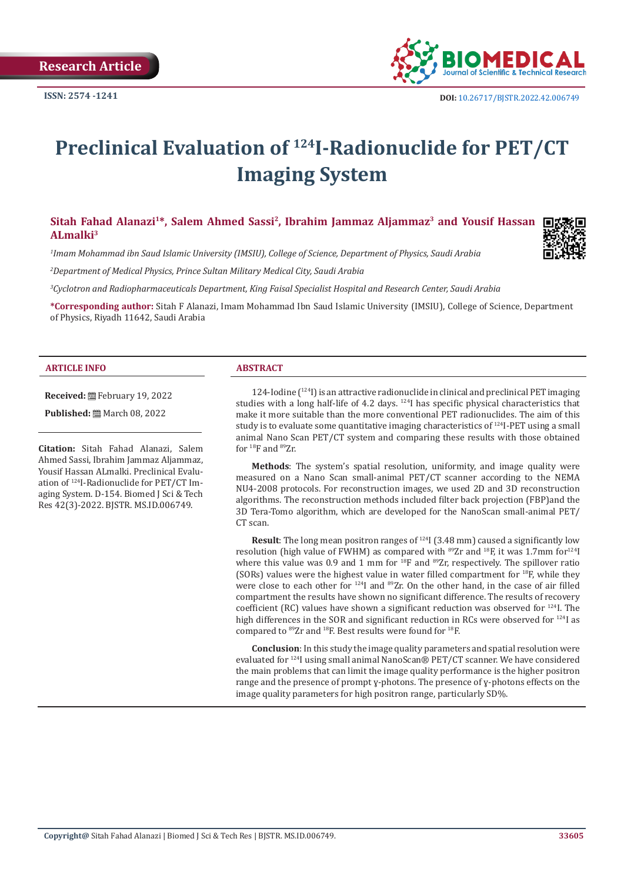**Research Article** 



# **Preclinical Evaluation of 124I-Radionuclide for PET/CT Imaging System**

Sitah Fahad Alanazi<sup>1\*</sup>, Salem Ahmed Sassi<sup>2</sup>, Ibrahim Jammaz Aljammaz<sup>3</sup> and Yousif Hassan **ALmalki3**

*1 Imam Mohammad ibn Saud Islamic University (IMSIU), College of Science, Department of Physics, Saudi Arabia*

*2 Department of Medical Physics, Prince Sultan Military Medical City, Saudi Arabia*

*3 Cyclotron and Radiopharmaceuticals Department, King Faisal Specialist Hospital and Research Center, Saudi Arabia*

**\*Corresponding author:** Sitah F Alanazi, Imam Mohammad Ibn Saud Islamic University (IMSIU), College of Science, Department of Physics, Riyadh 11642, Saudi Arabia

#### **ARTICLE INFO ABSTRACT**

**Received:** February 19, 2022

**Published:** ■ March 08, 2022

**Citation:** Sitah Fahad Alanazi, Salem Ahmed Sassi, Ibrahim Jammaz Aljammaz, Yousif Hassan ALmalki. Preclinical Evaluation of 124I-Radionuclide for PET/CT Imaging System. D-154. Biomed J Sci & Tech Res 42(3)-2022. BJSTR. MS.ID.006749.

124-Iodine  $(124)$  is an attractive radionuclide in clinical and preclinical PET imaging studies with a long half-life of 4.2 days. <sup>124</sup>I has specific physical characteristics that make it more suitable than the more conventional PET radionuclides. The aim of this study is to evaluate some quantitative imaging characteristics of  $124$ I-PET using a small animal Nano Scan PET/CT system and comparing these results with those obtained for <sup>18</sup>F and <sup>89</sup>Zr.

**Methods**: The system's spatial resolution, uniformity, and image quality were measured on a Nano Scan small-animal PET/CT scanner according to the NEMA NU4-2008 protocols. For reconstruction images, we used 2D and 3D reconstruction algorithms. The reconstruction methods included filter back projection (FBP)and the 3D Tera-Tomo algorithm, which are developed for the NanoScan small-animal PET/ CT scan.

**Result**: The long mean positron ranges of <sup>124</sup>I (3.48 mm) caused a significantly low resolution (high value of FWHM) as compared with  $89Zr$  and  $18F$ , it was 1.7mm for  $124I$ where this value was 0.9 and 1 mm for  $^{18}F$  and  $^{89}Zr$ , respectively. The spillover ratio (SORs) values were the highest value in water filled compartment for  $^{18}F$ , while they were close to each other for <sup>124</sup>I and <sup>89</sup>Zr. On the other hand, in the case of air filled compartment the results have shown no significant difference. The results of recovery coefficient (RC) values have shown a significant reduction was observed for 124I. The high differences in the SOR and significant reduction in RCs were observed for <sup>124</sup>I as compared to  $89Zr$  and  $18F$ . Best results were found for  $18F$ .

**Conclusion**: In this study the image quality parameters and spatial resolution were evaluated for 124I using small animal NanoScan® PET/CT scanner. We have considered the main problems that can limit the image quality performance is the higher positron range and the presence of prompt ɣ-photons. The presence of ɣ-photons effects on the image quality parameters for high positron range, particularly SD%.

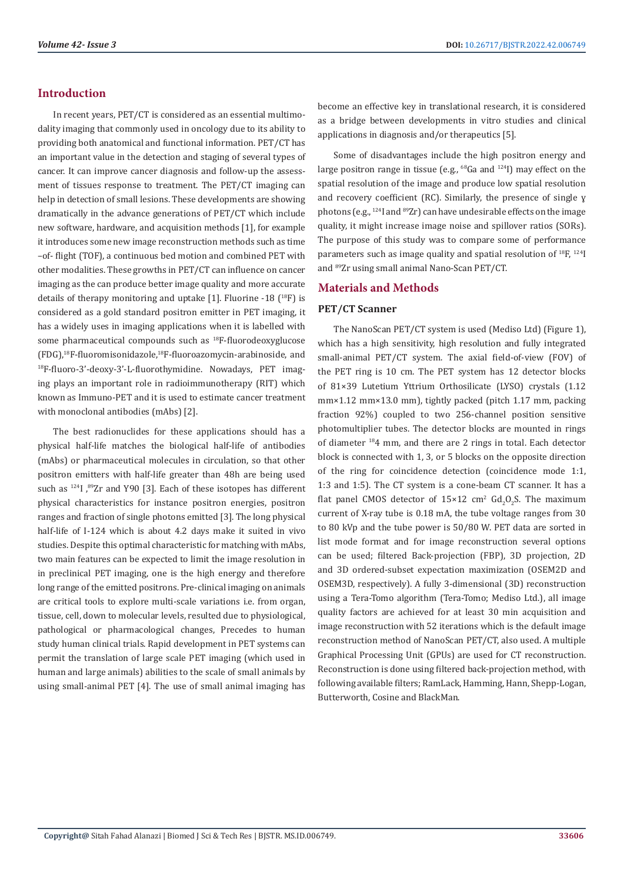# **Introduction**

In recent years, PET/CT is considered as an essential multimodality imaging that commonly used in oncology due to its ability to providing both anatomical and functional information. PET/CT has an important value in the detection and staging of several types of cancer. It can improve cancer diagnosis and follow-up the assessment of tissues response to treatment. The PET/CT imaging can help in detection of small lesions. These developments are showing dramatically in the advance generations of PET/CT which include new software, hardware, and acquisition methods [1], for example it introduces some new image reconstruction methods such as time –of- flight (TOF), a continuous bed motion and combined PET with other modalities. These growths in PET/CT can influence on cancer imaging as the can produce better image quality and more accurate details of therapy monitoring and uptake [1]. Fluorine -18 (<sup>18</sup>F) is considered as a gold standard positron emitter in PET imaging, it has a widely uses in imaging applications when it is labelled with some pharmaceutical compounds such as <sup>18</sup>F-fluorodeoxyglucose (FDG),18F-fluoromisonidazole,<sup>18</sup>F-fluoroazomycin-arabinoside, and <sup>18</sup>F-fluoro-3'-deoxy-3'-L-fluorothymidine. Nowadays, PET imaging plays an important role in radioimmunotherapy (RIT) which known as Immuno-PET and it is used to estimate cancer treatment with monoclonal antibodies (mAbs) [2].

The best radionuclides for these applications should has a physical half-life matches the biological half-life of antibodies (mAbs) or pharmaceutical molecules in circulation, so that other positron emitters with half-life greater than 48h are being used such as 124I ,89Zr and Y90 [3]. Each of these isotopes has different physical characteristics for instance positron energies, positron ranges and fraction of single photons emitted [3]. The long physical half-life of I-124 which is about 4.2 days make it suited in vivo studies. Despite this optimal characteristic for matching with mAbs, two main features can be expected to limit the image resolution in in preclinical PET imaging, one is the high energy and therefore long range of the emitted positrons. Pre-clinical imaging on animals are critical tools to explore multi-scale variations i.e. from organ, tissue, cell, down to molecular levels, resulted due to physiological, pathological or pharmacological changes, Precedes to human study human clinical trials. Rapid development in PET systems can permit the translation of large scale PET imaging (which used in human and large animals) abilities to the scale of small animals by using small-animal PET [4]. The use of small animal imaging has become an effective key in translational research, it is considered as a bridge between developments in vitro studies and clinical applications in diagnosis and/or therapeutics [5].

Some of disadvantages include the high positron energy and large positron range in tissue (e.g.,  $^{68}$ Ga and  $^{124}$ I) may effect on the spatial resolution of the image and produce low spatial resolution and recovery coefficient (RC). Similarly, the presence of single ɣ photons (e.g., <sup>124</sup>I and <sup>89</sup>Zr) can have undesirable effects on the image quality, it might increase image noise and spillover ratios (SORs). The purpose of this study was to compare some of performance parameters such as image quality and spatial resolution of <sup>18</sup>F, <sup>124</sup>I and 89Zr using small animal Nano-Scan PET/CT.

#### **Materials and Methods**

#### **PET/CT Scanner**

The NanoScan PET/CT system is used (Mediso Ltd) (Figure 1), which has a high sensitivity, high resolution and fully integrated small-animal PET/CT system. The axial field-of-view (FOV) of the PET ring is 10 cm. The PET system has 12 detector blocks of 81×39 Lutetium Yttrium Orthosilicate (LYSO) crystals (1.12 mm×1.12 mm×13.0 mm), tightly packed (pitch 1.17 mm, packing fraction 92%) coupled to two 256-channel position sensitive photomultiplier tubes. The detector blocks are mounted in rings of diameter 184 mm, and there are 2 rings in total. Each detector block is connected with 1, 3, or 5 blocks on the opposite direction of the ring for coincidence detection (coincidence mode 1:1, 1:3 and 1:5). The CT system is a cone-beam CT scanner. It has a flat panel CMOS detector of  $15\times12$  cm<sup>2</sup> Gd<sub>2</sub>O<sub>2</sub>S. The maximum current of X-ray tube is 0.18 mA, the tube voltage ranges from 30 to 80 kVp and the tube power is 50/80 W. PET data are sorted in list mode format and for image reconstruction several options can be used; filtered Back-projection (FBP), 3D projection, 2D and 3D ordered-subset expectation maximization (OSEM2D and OSEM3D, respectively). A fully 3-dimensional (3D) reconstruction using a Tera-Tomo algorithm (Tera-Tomo; Mediso Ltd.), all image quality factors are achieved for at least 30 min acquisition and image reconstruction with 52 iterations which is the default image reconstruction method of NanoScan PET/CT, also used. A multiple Graphical Processing Unit (GPUs) are used for CT reconstruction. Reconstruction is done using filtered back-projection method, with following available filters; RamLack, Hamming, Hann, Shepp-Logan, Butterworth, Cosine and BlackMan.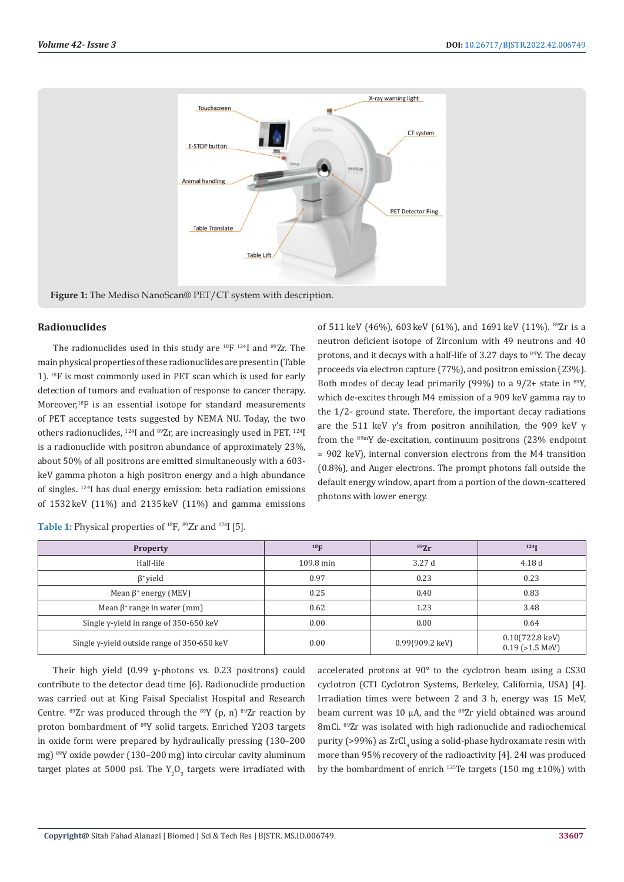

**Figure 1:** The Mediso NanoScan® PET/CT system with description.

#### **Radionuclides**

The radionuclides used in this study are  $^{18}F$   $^{124}I$  and  $^{89}Zr$ . The main physical properties of these radionuclides are present in (Table 1). 18F is most commonly used in PET scan which is used for early detection of tumors and evaluation of response to cancer therapy. Moreover,<sup>18</sup>F is an essential isotope for standard measurements of PET acceptance tests suggested by NEMA NU. Today, the two others radionuclides, 124I and 89Zr, are increasingly used in PET. 124I is a radionuclide with positron abundance of approximately 23%, about 50% of all positrons are emitted simultaneously with a 603 keV gamma photon a high positron energy and a high abundance of singles. 124I has dual energy emission: beta radiation emissions of 1532 keV (11%) and 2135 keV (11%) and gamma emissions of 511 keV (46%), 603 keV (61%), and 1691 keV (11%). 89Zr is a neutron deficient isotope of Zirconium with 49 neutrons and 40 protons, and it decays with a half-life of 3.27 days to 89Y. The decay proceeds via electron capture (77%), and positron emission (23%). Both modes of decay lead primarily (99%) to a  $9/2+$  state in  $89$ Y, which de-excites through M4 emission of a 909 keV gamma ray to the 1/2- ground state. Therefore, the important decay radiations are the 511 keV  $\gamma$ 's from positron annihilation, the 909 keV  $\gamma$ from the 89mY de-excitation, continuum positrons (23% endpoint = 902 keV), internal conversion electrons from the M4 transition (0.8%), and Auger electrons. The prompt photons fall outside the default energy window, apart from a portion of the down-scattered photons with lower energy.

| <b>Property</b>                                     | 18 <sub>F</sub> | 89Zr                      | 124                                               |
|-----------------------------------------------------|-----------------|---------------------------|---------------------------------------------------|
| Half-life                                           | 109.8 min       | 3.27d                     | 4.18d                                             |
| $\beta^*$ yield                                     | 0.97            | 0.23                      | 0.23                                              |
| Mean $\beta$ <sup>+</sup> energy (MEV)              | 0.25            | 0.40                      | 0.83                                              |
| Mean $\beta$ <sup>+</sup> range in water (mm)       | 0.62            | 1.23                      | 3.48                                              |
| Single $\gamma$ -yield in range of 350-650 keV      | 0.00            | 0.00                      | 0.64                                              |
| Single $\gamma$ -yield outside range of 350-650 keV | 0.00            | $0.99(909.2 \text{ keV})$ | $0.10(722.8 \text{ keV})$<br>$0.19$ ( $>1.5$ MeV) |

**Table 1:** Physical properties of 18F, 89Zr and 124I [5].

Their high yield (0.99 ɣ-photons vs. 0.23 positrons) could contribute to the detector dead time [6]. Radionuclide production was carried out at King Faisal Specialist Hospital and Research Centre.  $89Zr$  was produced through the  $89Y$  (p, n)  $89Zr$  reaction by proton bombardment of 89Y solid targets. Enriched Y2O3 targets in oxide form were prepared by hydraulically pressing (130–200 mg) 89Y oxide powder (130–200 mg) into circular cavity aluminum target plates at 5000 psi. The  $Y_2O_3$  targets were irradiated with accelerated protons at 90° to the cyclotron beam using a CS30 cyclotron (CTI Cyclotron Systems, Berkeley, California, USA) [4]. Irradiation times were between 2 and 3 h, energy was 15 MeV, beam current was 10  $\mu$ A, and the <sup>89</sup>Zr yield obtained was around 8mCi. 89Zr was isolated with high radionuclide and radiochemical purity (>99%) as ZrCl, using a solid-phase hydroxamate resin with more than 95% recovery of the radioactivity [4]. 24I was produced by the bombardment of enrich  $^{125}$ Te targets (150 mg ±10%) with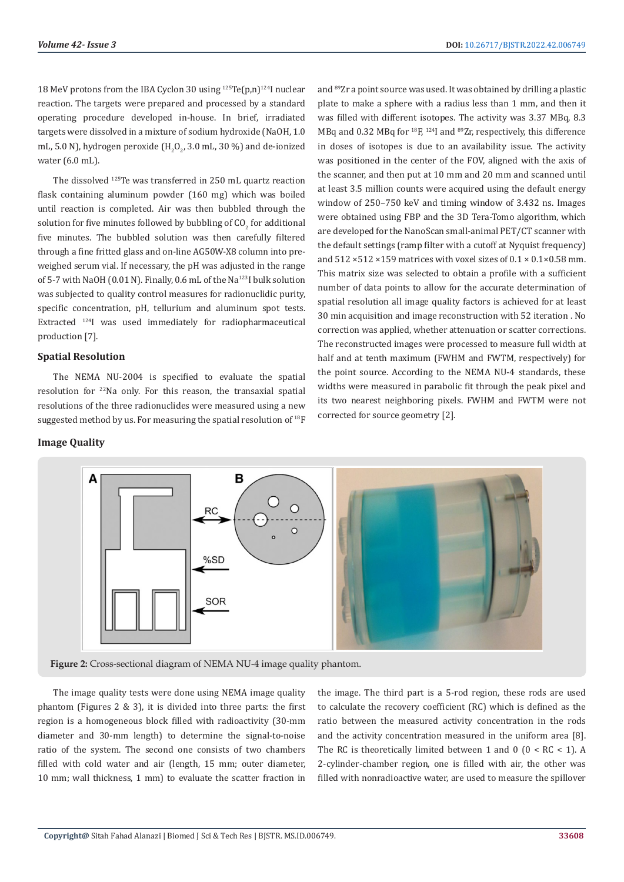18 MeV protons from the IBA Cyclon 30 using  $^{125}Te(p,n)^{124}I$  nuclear reaction. The targets were prepared and processed by a standard operating procedure developed in-house. In brief, irradiated targets were dissolved in a mixture of sodium hydroxide (NaOH, 1.0 mL, 5.0 N), hydrogen peroxide (H $_{2}$ O $_{2'}$  3.0 mL, 30 %) and de-ionized water (6.0 mL).

The dissolved 125Te was transferred in 250 mL quartz reaction flask containing aluminum powder (160 mg) which was boiled until reaction is completed. Air was then bubbled through the solution for five minutes followed by bubbling of  $\mathsf{CO}_2$  for additional five minutes. The bubbled solution was then carefully filtered through a fine fritted glass and on-line AG50W-X8 column into preweighed serum vial. If necessary, the pH was adjusted in the range of 5-7 with NaOH (0.01 N). Finally, 0.6 mL of the Na<sup>123</sup>I bulk solution was subjected to quality control measures for radionuclidic purity, specific concentration, pH, tellurium and aluminum spot tests. Extracted 124I was used immediately for radiopharmaceutical production [7].

#### **Spatial Resolution**

The NEMA NU-2004 is specified to evaluate the spatial resolution for 22Na only. For this reason, the transaxial spatial resolutions of the three radionuclides were measured using a new suggested method by us. For measuring the spatial resolution of <sup>18</sup>F

#### **Image Quality**

and 89Zr a point source was used. It was obtained by drilling a plastic plate to make a sphere with a radius less than 1 mm, and then it was filled with different isotopes. The activity was 3.37 MBq, 8.3 MBq and 0.32 MBq for 18F, 124I and 89Zr, respectively, this difference in doses of isotopes is due to an availability issue. The activity was positioned in the center of the FOV, aligned with the axis of the scanner, and then put at 10 mm and 20 mm and scanned until at least 3.5 million counts were acquired using the default energy window of 250–750 keV and timing window of 3.432 ns. Images were obtained using FBP and the 3D Tera-Tomo algorithm, which are developed for the NanoScan small-animal PET/CT scanner with the default settings (ramp filter with a cutoff at Nyquist frequency) and  $512 \times 512 \times 159$  matrices with voxel sizes of  $0.1 \times 0.1 \times 0.58$  mm. This matrix size was selected to obtain a profile with a sufficient number of data points to allow for the accurate determination of spatial resolution all image quality factors is achieved for at least 30 min acquisition and image reconstruction with 52 iteration . No correction was applied, whether attenuation or scatter corrections. The reconstructed images were processed to measure full width at half and at tenth maximum (FWHM and FWTM, respectively) for the point source. According to the NEMA NU-4 standards, these widths were measured in parabolic fit through the peak pixel and its two nearest neighboring pixels. FWHM and FWTM were not corrected for source geometry [2].



**Figure 2:** Cross-sectional diagram of NEMA NU-4 image quality phantom.

The image quality tests were done using NEMA image quality phantom (Figures 2 & 3), it is divided into three parts: the first region is a homogeneous block filled with radioactivity (30-mm diameter and 30-mm length) to determine the signal-to-noise ratio of the system. The second one consists of two chambers filled with cold water and air (length, 15 mm; outer diameter, 10 mm; wall thickness, 1 mm) to evaluate the scatter fraction in

the image. The third part is a 5-rod region, these rods are used to calculate the recovery coefficient (RC) which is defined as the ratio between the measured activity concentration in the rods and the activity concentration measured in the uniform area [8]. The RC is theoretically limited between 1 and 0 ( $0 < RC < 1$ ). A 2-cylinder-chamber region, one is filled with air, the other was filled with nonradioactive water, are used to measure the spillover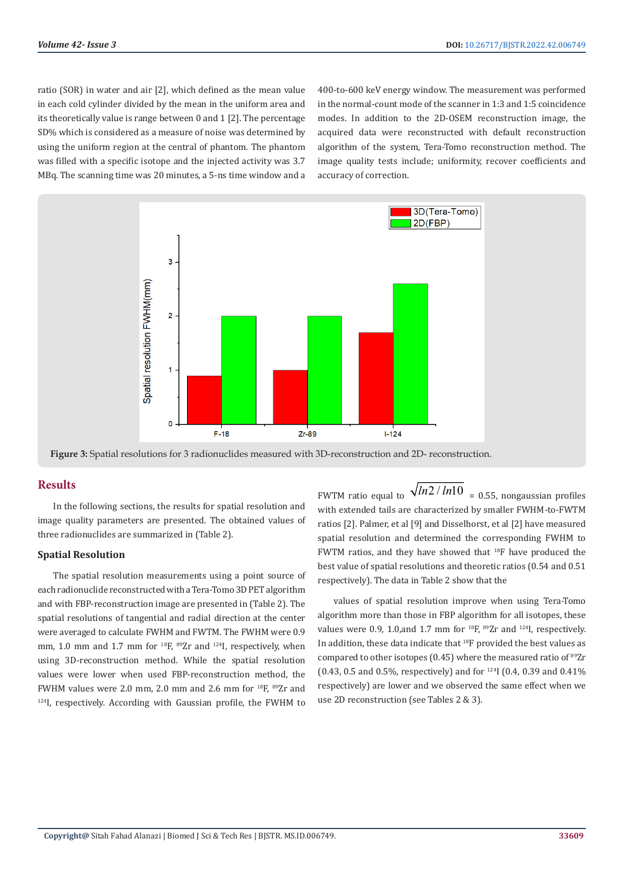ratio (SOR) in water and air [2], which defined as the mean value in each cold cylinder divided by the mean in the uniform area and its theoretically value is range between 0 and 1 [2]. The percentage SD% which is considered as a measure of noise was determined by using the uniform region at the central of phantom. The phantom was filled with a specific isotope and the injected activity was 3.7 MBq. The scanning time was 20 minutes, a 5-ns time window and a

400-to-600 keV energy window. The measurement was performed in the normal-count mode of the scanner in 1:3 and 1:5 coincidence modes. In addition to the 2D-OSEM reconstruction image, the acquired data were reconstructed with default reconstruction algorithm of the system, Tera-Tomo reconstruction method. The image quality tests include; uniformity, recover coefficients and accuracy of correction.





#### **Results**

In the following sections, the results for spatial resolution and image quality parameters are presented. The obtained values of three radionuclides are summarized in (Table 2).

#### **Spatial Resolution**

The spatial resolution measurements using a point source of each radionuclide reconstructed with a Tera-Tomo 3D PET algorithm and with FBP-reconstruction image are presented in (Table 2). The spatial resolutions of tangential and radial direction at the center were averaged to calculate FWHM and FWTM. The FWHM were 0.9 mm, 1.0 mm and 1.7 mm for  $^{18}F$ ,  $^{89}Zr$  and  $^{124}I$ , respectively, when using 3D-reconstruction method. While the spatial resolution values were lower when used FBP-reconstruction method, the FWHM values were 2.0 mm, 2.0 mm and 2.6 mm for  $^{18}$ F,  $^{89}$ Zr and <sup>124</sup>I, respectively. According with Gaussian profile, the FWHM to

FWTM ratio equal to  $\sqrt{ln2 / ln10}$  = 0.55, nongaussian profiles with extended tails are characterized by smaller FWHM-to-FWTM ratios [2]. Palmer, et al [9] and Disselhorst, et al [2] have measured spatial resolution and determined the corresponding FWHM to FWTM ratios, and they have showed that 18F have produced the best value of spatial resolutions and theoretic ratios (0.54 and 0.51 respectively). The data in Table 2 show that the

values of spatial resolution improve when using Tera-Tomo algorithm more than those in FBP algorithm for all isotopes, these values were 0.9, 1.0, and 1.7 mm for  $^{18}F$ ,  $^{89}Zr$  and  $^{124}I$ , respectively. In addition, these data indicate that 18F provided the best values as compared to other isotopes (0.45) where the measured ratio of <sup>89</sup>Zr (0.43, 0.5 and 0.5%, respectively) and for  $^{124}$ I (0.4, 0.39 and 0.41%) respectively) are lower and we observed the same effect when we use 2D reconstruction (see Tables 2 & 3).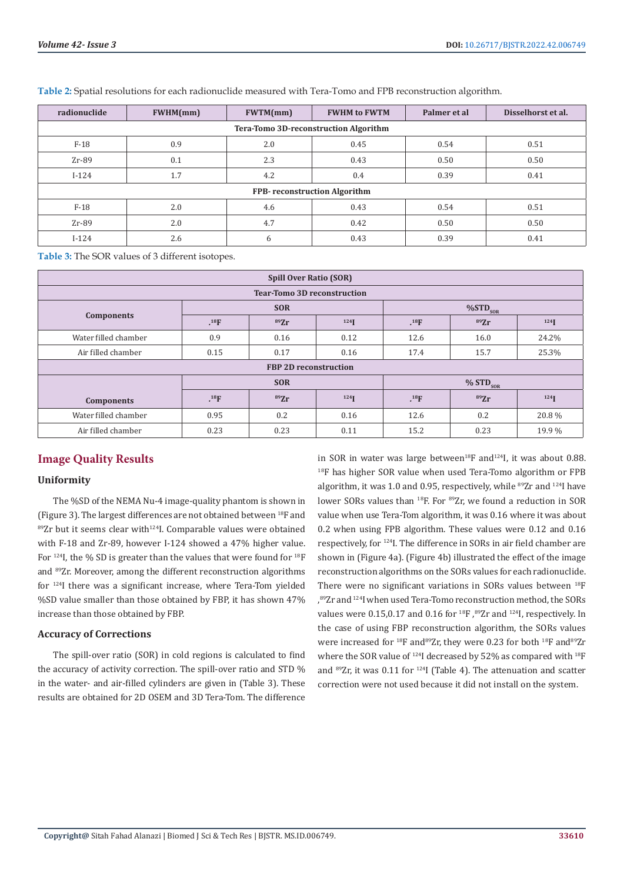| radionuclide                                 | <b>FWHM(mm)</b> | FWTM(mm) | <b>FWHM to FWTM</b> | Palmer et al | Disselhorst et al. |  |  |
|----------------------------------------------|-----------------|----------|---------------------|--------------|--------------------|--|--|
| <b>Tera-Tomo 3D-reconstruction Algorithm</b> |                 |          |                     |              |                    |  |  |
| $F-18$                                       | 0.9             | 2.0      | 0.45                | 0.54         | 0.51               |  |  |
| $Zr-89$                                      | 0.1             | 2.3      | 0.43                | 0.50         | 0.50               |  |  |
| $I-124$                                      | 1.7             | 4.2      | 0.4                 | 0.39         | 0.41               |  |  |
| <b>FPB-</b> reconstruction Algorithm         |                 |          |                     |              |                    |  |  |
| $F-18$                                       | 2.0             | 4.6      | 0.43                | 0.54         | 0.51               |  |  |
| $Zr-89$                                      | 2.0             | 4.7      | 0.42                | 0.50         | 0.50               |  |  |
| $I-124$                                      | 2.6             | 6        | 0.43                | 0.39         | 0.41               |  |  |

**Table 2:** Spatial resolutions for each radionuclide measured with Tera-Tomo and FPB reconstruction algorithm.

**Table 3:** The SOR values of 3 different isotopes.

| <b>Spill Over Ratio (SOR)</b>      |            |      |                    |                        |      |                                            |  |
|------------------------------------|------------|------|--------------------|------------------------|------|--------------------------------------------|--|
| <b>Tear-Tomo 3D reconstruction</b> |            |      |                    |                        |      |                                            |  |
|                                    | <b>SOR</b> |      |                    | $\%STD_{SOR}$          |      |                                            |  |
| <b>Components</b>                  | $^{18}F$   | 89Zr | 124                | $^{18}F$               | 89Zr | 124                                        |  |
| Water filled chamber               | 0.9        | 0.16 | 0.12               | 12.6                   | 16.0 | 24.2%                                      |  |
| Air filled chamber                 | 0.15       | 0.17 | 0.16               | 17.4                   | 15.7 | 25.3%                                      |  |
| <b>FBP 2D reconstruction</b>       |            |      |                    |                        |      |                                            |  |
|                                    | <b>SOR</b> |      |                    | $% STD$ <sub>SOR</sub> |      |                                            |  |
| <b>Components</b>                  | $^{18}F$   | 89Zr | $124$ <sup>T</sup> | $^{18}$ F              | 89Zr | $124$ <sup><math>\blacksquare</math></sup> |  |
| Water filled chamber               | 0.95       | 0.2  | 0.16               | 12.6                   | 0.2  | 20.8%                                      |  |
| Air filled chamber                 | 0.23       | 0.23 | 0.11               | 15.2                   | 0.23 | 19.9%                                      |  |

# **Image Quality Results**

#### **Uniformity**

The %SD of the NEMA Nu-4 image-quality phantom is shown in (Figure 3). The largest differences are not obtained between 18F and  $89Zr$  but it seems clear with<sup>124</sup>I. Comparable values were obtained with F-18 and Zr-89, however I-124 showed a 47% higher value. For <sup>124</sup>I, the % SD is greater than the values that were found for <sup>18</sup>F and 89Zr. Moreover, among the different reconstruction algorithms for <sup>124</sup>I there was a significant increase, where Tera-Tom yielded %SD value smaller than those obtained by FBP, it has shown 47% increase than those obtained by FBP.

#### **Accuracy of Corrections**

The spill-over ratio (SOR) in cold regions is calculated to find the accuracy of activity correction. The spill-over ratio and STD % in the water- and air-filled cylinders are given in (Table 3). These results are obtained for 2D OSEM and 3D Tera-Tom. The difference

in SOR in water was large between<sup>18</sup>F and<sup>124</sup>I, it was about 0.88. <sup>18</sup>F has higher SOR value when used Tera-Tomo algorithm or FPB algorithm, it was 1.0 and 0.95, respectively, while  $^{89}Zr$  and  $^{124}I$  have lower SORs values than <sup>18</sup>F. For <sup>89</sup>Zr, we found a reduction in SOR value when use Tera-Tom algorithm, it was 0.16 where it was about 0.2 when using FPB algorithm. These values were 0.12 and 0.16 respectively, for <sup>124</sup>I. The difference in SORs in air field chamber are shown in (Figure 4a). (Figure 4b) illustrated the effect of the image reconstruction algorithms on the SORs values for each radionuclide. There were no significant variations in SORs values between <sup>18</sup>F , 89Zr and 124I when used Tera-Tomo reconstruction method, the SORs values were 0.15,0.17 and 0.16 for <sup>18</sup>F, <sup>89</sup>Zr and <sup>124</sup>I, respectively. In the case of using FBP reconstruction algorithm, the SORs values were increased for <sup>18</sup>F and<sup>89</sup>Zr, they were 0.23 for both <sup>18</sup>F and<sup>89</sup>Zr where the SOR value of <sup>124</sup>I decreased by 52% as compared with <sup>18</sup>F and  $89Zr$ , it was 0.11 for  $124I$  (Table 4). The attenuation and scatter correction were not used because it did not install on the system.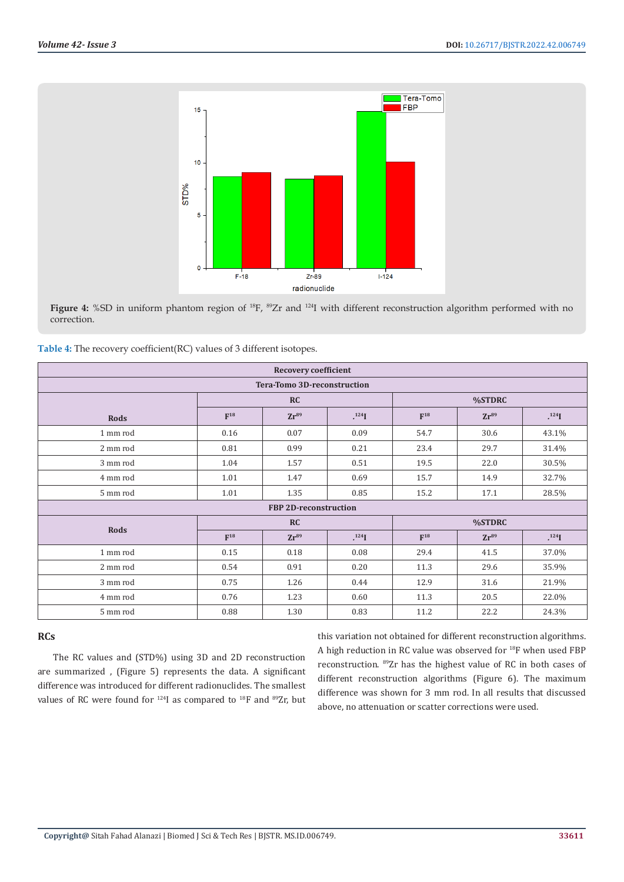

**Figure 4:** %SD in uniform phantom region of <sup>18</sup>F, <sup>89</sup>Zr and <sup>124</sup>I with different reconstruction algorithm performed with no correction.

| Table 4: The recovery coefficient(RC) values of 3 different isotopes. |  |  |
|-----------------------------------------------------------------------|--|--|
|                                                                       |  |  |

| <b>Recovery coefficient</b> |          |                       |          |          |           |          |  |
|-----------------------------|----------|-----------------------|----------|----------|-----------|----------|--|
| Tera-Tomo 3D-reconstruction |          |                       |          |          |           |          |  |
|                             | RC       |                       |          | %STDRC   |           |          |  |
| <b>Rods</b>                 | $F^{18}$ | $Zr^{89}$             | $^{124}$ | $F^{18}$ | $Zr^{89}$ | $^{124}$ |  |
| 1 mm rod                    | 0.16     | 0.07                  | 0.09     | 54.7     | 30.6      | 43.1%    |  |
| 2 mm rod                    | 0.81     | 0.99                  | 0.21     | 23.4     | 29.7      | 31.4%    |  |
| 3 mm rod                    | 1.04     | 1.57                  | 0.51     | 19.5     | 22.0      | 30.5%    |  |
| 4 mm rod                    | 1.01     | 1.47                  | 0.69     | 15.7     | 14.9      | 32.7%    |  |
| 5 mm rod                    | 1.01     | 1.35                  | 0.85     | 15.2     | 17.1      | 28.5%    |  |
|                             |          | FBP 2D-reconstruction |          |          |           |          |  |
| Rods                        | RC       |                       |          | %STDRC   |           |          |  |
|                             | $F^{18}$ | $Zr^{89}$             | $^{124}$ | $F^{18}$ | $Zr^{89}$ | $^{124}$ |  |
| 1 mm rod                    | 0.15     | 0.18                  | 0.08     | 29.4     | 41.5      | 37.0%    |  |
| 2 mm rod                    | 0.54     | 0.91                  | 0.20     | 11.3     | 29.6      | 35.9%    |  |
| 3 mm rod                    | 0.75     | 1.26                  | 0.44     | 12.9     | 31.6      | 21.9%    |  |
| 4 mm rod                    | 0.76     | 1.23                  | 0.60     | 11.3     | 20.5      | 22.0%    |  |
| 5 mm rod                    | 0.88     | 1.30                  | 0.83     | 11.2     | 22.2      | 24.3%    |  |

### **RCs**

The RC values and (STD%) using 3D and 2D reconstruction are summarized , (Figure 5) represents the data. A significant difference was introduced for different radionuclides. The smallest values of RC were found for <sup>124</sup>I as compared to <sup>18</sup>F and <sup>89</sup>Zr, but this variation not obtained for different reconstruction algorithms. A high reduction in RC value was observed for 18F when used FBP reconstruction. 89Zr has the highest value of RC in both cases of different reconstruction algorithms (Figure 6). The maximum difference was shown for 3 mm rod. In all results that discussed above, no attenuation or scatter corrections were used.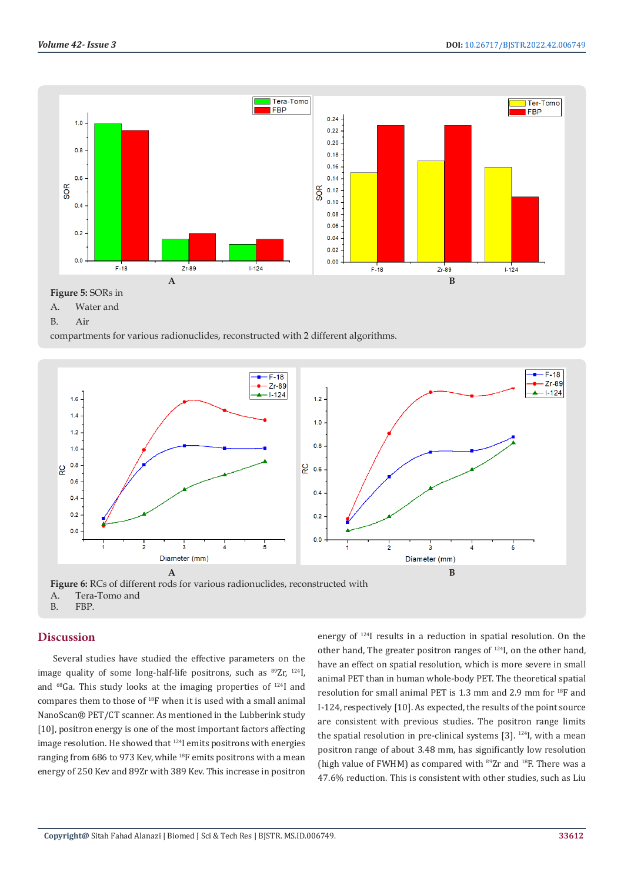

A. Water and

```
B. Air
```
compartments for various radionuclides, reconstructed with 2 different algorithms.



A. Tera-Tomo and<br>B. FBP.

# **Discussion**

Several studies have studied the effective parameters on the image quality of some long-half-life positrons, such as  $89Zr$ ,  $124I$ , and 68Ga. This study looks at the imaging properties of 124I and compares them to those of 18F when it is used with a small animal NanoScan® PET/CT scanner. As mentioned in the Lubberink study [10], positron energy is one of the most important factors affecting image resolution. He showed that <sup>124</sup>I emits positrons with energies ranging from 686 to 973 Kev, while <sup>18</sup>F emits positrons with a mean energy of 250 Kev and 89Zr with 389 Kev. This increase in positron

energy of 124I results in a reduction in spatial resolution. On the other hand, The greater positron ranges of 124I, on the other hand, have an effect on spatial resolution, which is more severe in small animal PET than in human whole-body PET. The theoretical spatial resolution for small animal PET is 1.3 mm and 2.9 mm for 18F and I-124, respectively [10]. As expected, the results of the point source are consistent with previous studies. The positron range limits the spatial resolution in pre-clinical systems  $[3]$ .  $^{124}$ I, with a mean positron range of about 3.48 mm, has significantly low resolution (high value of FWHM) as compared with  $89Zr$  and  $18F$ . There was a 47.6% reduction. This is consistent with other studies, such as Liu

FBP.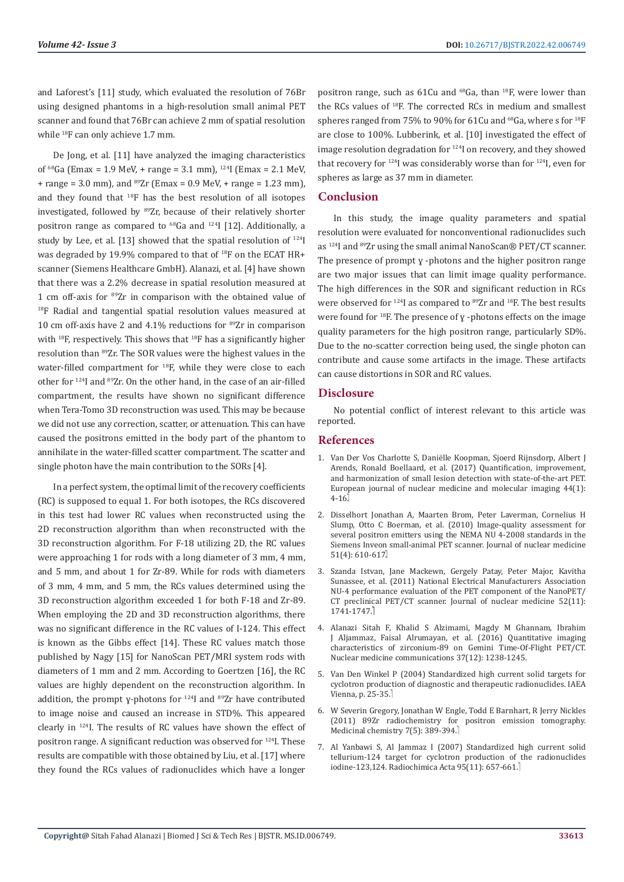and Laforest's [11] study, which evaluated the resolution of 76Br using designed phantoms in a high-resolution small animal PET scanner and found that 76Br can achieve 2 mm of spatial resolution while <sup>18</sup>F can only achieve 1.7 mm.

De Jong, et al. [11] have analyzed the imaging characteristics of  $^{68}$ Ga (Emax = 1.9 MeV, + range = 3.1 mm),  $^{124}$ I (Emax = 2.1 MeV, + range = 3.0 mm), and  $^{89}Zr$  (Emax = 0.9 MeV, + range = 1.23 mm), and they found that 18F has the best resolution of all isotopes investigated, followed by 89Zr, because of their relatively shorter positron range as compared to  $^{68}$ Ga and  $^{124}$ I [12]. Additionally, a study by Lee, et al. [13] showed that the spatial resolution of 124I was degraded by 19.9% compared to that of 18F on the ECAT HR+ scanner (Siemens Healthcare GmbH). Alanazi, et al. [4] have shown that there was a 2.2% decrease in spatial resolution measured at 1 cm off-axis for 89Zr in comparison with the obtained value of <sup>18</sup>F Radial and tangential spatial resolution values measured at 10 cm off-axis have 2 and 4.1% reductions for 89Zr in comparison with  $^{18}$ F, respectively. This shows that  $^{18}$ F has a significantly higher resolution than 89Zr. The SOR values were the highest values in the water-filled compartment for 18F, while they were close to each other for 124I and 89Zr. On the other hand, in the case of an air-filled compartment, the results have shown no significant difference when Tera-Tomo 3D reconstruction was used. This may be because we did not use any correction, scatter, or attenuation. This can have caused the positrons emitted in the body part of the phantom to annihilate in the water-filled scatter compartment. The scatter and single photon have the main contribution to the SORs [4].

In a perfect system, the optimal limit of the recovery coefficients (RC) is supposed to equal 1. For both isotopes, the RCs discovered in this test had lower RC values when reconstructed using the 2D reconstruction algorithm than when reconstructed with the 3D reconstruction algorithm. For F-18 utilizing 2D, the RC values were approaching 1 for rods with a long diameter of 3 mm, 4 mm, and 5 mm, and about 1 for Zr-89. While for rods with diameters of 3 mm, 4 mm, and 5 mm, the RCs values determined using the 3D reconstruction algorithm exceeded 1 for both F-18 and Zr-89. When employing the 2D and 3D reconstruction algorithms, there was no significant difference in the RC values of I-124. This effect is known as the Gibbs effect [14]. These RC values match those published by Nagy [15] for NanoScan PET/MRI system rods with diameters of 1 mm and 2 mm. According to Goertzen [16], the RC values are highly dependent on the reconstruction algorithm. In addition, the prompt y-photons for <sup>124</sup>I and <sup>89</sup>Zr have contributed to image noise and caused an increase in STD%. This appeared clearly in 124I. The results of RC values have shown the effect of positron range. A significant reduction was observed for 124I. These results are compatible with those obtained by Liu, et al. [17] where they found the RCs values of radionuclides which have a longer

positron range, such as  $61Cu$  and  $^{68}Ga$ , than  $^{18}F$ , were lower than the RCs values of 18F. The corrected RCs in medium and smallest spheres ranged from 75% to 90% for 61Cu and  $^{68}$ Ga, where s for  $^{18}$ F are close to 100%. Lubberink, et al. [10] investigated the effect of image resolution degradation for  $124$ I on recovery, and they showed that recovery for 124I was considerably worse than for 124I, even for spheres as large as 37 mm in diameter.

#### **Conclusion**

In this study, the image quality parameters and spatial resolution were evaluated for nonconventional radionuclides such as <sup>124</sup>I and <sup>89</sup>Zr using the small animal NanoScan® PET/CT scanner. The presence of prompt  $y$  -photons and the higher positron range are two major issues that can limit image quality performance. The high differences in the SOR and significant reduction in RCs were observed for  $124$ I as compared to  $89$ Zr and  $18$ F. The best results were found for  $^{18}F$ . The presence of y -photons effects on the image quality parameters for the high positron range, particularly SD%. Due to the no-scatter correction being used, the single photon can contribute and cause some artifacts in the image. These artifacts can cause distortions in SOR and RC values.

#### **Disclosure**

No potential conflict of interest relevant to this article was reported.

#### **References**

- 1. Van Der Vos Charlotte S, Dani[ëlle Koopman, Sjoerd Rijnsdorp, Albert J](https://pubmed.ncbi.nlm.nih.gov/28687866/) [Arends, Ronald Boellaard, et al. \(2017\) Quantification, improvement,](https://pubmed.ncbi.nlm.nih.gov/28687866/) [and harmonization of small lesion detection with state-of-the-art PET.](https://pubmed.ncbi.nlm.nih.gov/28687866/) [European journal of nuclear medicine and molecular imaging 44\(1\):](https://pubmed.ncbi.nlm.nih.gov/28687866/) [4-16.](https://pubmed.ncbi.nlm.nih.gov/28687866/)
- 2. [Disselhort Jonathan A, Maarten Brom, Peter Laverman, Cornelius H](https://pubmed.ncbi.nlm.nih.gov/20237025/) [Slump, Otto C Boerman, et al. \(2010\) Image-quality assessment for](https://pubmed.ncbi.nlm.nih.gov/20237025/) [several positron emitters using the NEMA NU 4-2008 standards in the](https://pubmed.ncbi.nlm.nih.gov/20237025/) [Siemens Inveon small-animal PET scanner. Journal of nuclear medicine](https://pubmed.ncbi.nlm.nih.gov/20237025/)  $51(4):610-617.$
- 3. [Szanda Istvan, Jane Mackewn, Gergely Patay, Peter Major, Kavitha](https://pubmed.ncbi.nlm.nih.gov/21969357/) [Sunassee, et al. \(2011\) National Electrical Manufacturers Association](https://pubmed.ncbi.nlm.nih.gov/21969357/) [NU-4 performance evaluation of the PET component of the NanoPET/](https://pubmed.ncbi.nlm.nih.gov/21969357/) [CT preclinical PET/CT scanner. Journal of nuclear medicine 52\(11\):](https://pubmed.ncbi.nlm.nih.gov/21969357/)  [1741-1747.](https://pubmed.ncbi.nlm.nih.gov/21969357/)
- 4. [Alanazi Sitah F, Khalid S Alzimami, Magdy M Ghannam, Ibrahim](https://pubmed.ncbi.nlm.nih.gov/27749774/) [J Aljammaz, Faisal Alrumayan, et al. \(2016\) Quantitative imaging](https://pubmed.ncbi.nlm.nih.gov/27749774/) [characteristics of zirconium-89 on Gemini Time-Of-Flight PET/CT.](https://pubmed.ncbi.nlm.nih.gov/27749774/) [Nuclear medicine communications 37\(12\): 1238-1245.](https://pubmed.ncbi.nlm.nih.gov/27749774/)
- 5. Van Den Winkel P (2004) Standardized high current solid targets for cyclotron production of diagnostic and therapeutic radionuclides. IAEA Vienna, p. 25-35.
- 6. W Severin Gregory, Jonathan W Engle, Todd E Barnhart, R Jerry Nickles (2011) 89Zr radiochemistry for positron emission tomography. Medicinal chemistry 7(5): 389-394.
- 7. [Al Yanbawi S, Al Jammaz I \(2007\) Standardized high current solid](https://inis.iaea.org/search/search.aspx?orig_q=RN:38115842) [tellurium-124 target for cyclotron production of the radionuclides](https://inis.iaea.org/search/search.aspx?orig_q=RN:38115842) [iodine-123,124. Radiochimica Acta 95\(11\): 657-661.](https://inis.iaea.org/search/search.aspx?orig_q=RN:38115842)